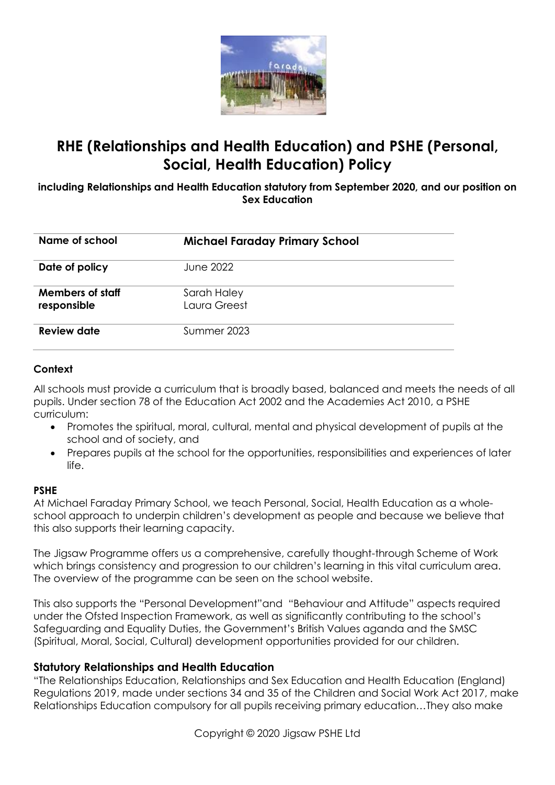

# **RHE (Relationships and Health Education) and PSHE (Personal, Social, Health Education) Policy**

**including Relationships and Health Education statutory from September 2020, and our position on Sex Education**

| Name of school                         | <b>Michael Faraday Primary School</b> |
|----------------------------------------|---------------------------------------|
| Date of policy                         | June 2022                             |
| <b>Members of staff</b><br>responsible | Sarah Haley<br>Laura Greest           |
| Review date                            | Summer 2023                           |

#### **Context**

All schools must provide a curriculum that is broadly based, balanced and meets the needs of all pupils. Under section 78 of the Education Act 2002 and the Academies Act 2010, a PSHE curriculum:

- Promotes the spiritual, moral, cultural, mental and physical development of pupils at the school and of society, and
- Prepares pupils at the school for the opportunities, responsibilities and experiences of later life.

#### **PSHE**

At Michael Faraday Primary School, we teach Personal, Social, Health Education as a wholeschool approach to underpin children's development as people and because we believe that this also supports their learning capacity.

The Jigsaw Programme offers us a comprehensive, carefully thought-through Scheme of Work which brings consistency and progression to our children's learning in this vital curriculum area. The overview of the programme can be seen on the school website.

This also supports the "Personal Development"and "Behaviour and Attitude" aspects required under the Ofsted Inspection Framework, as well as significantly contributing to the school's Safeguarding and Equality Duties, the Government's British Values aganda and the SMSC (Spiritual, Moral, Social, Cultural) development opportunities provided for our children.

#### **Statutory Relationships and Health Education**

"The Relationships Education, Relationships and Sex Education and Health Education (England) Regulations 2019, made under sections 34 and 35 of the Children and Social Work Act 2017, make Relationships Education compulsory for all pupils receiving primary education…They also make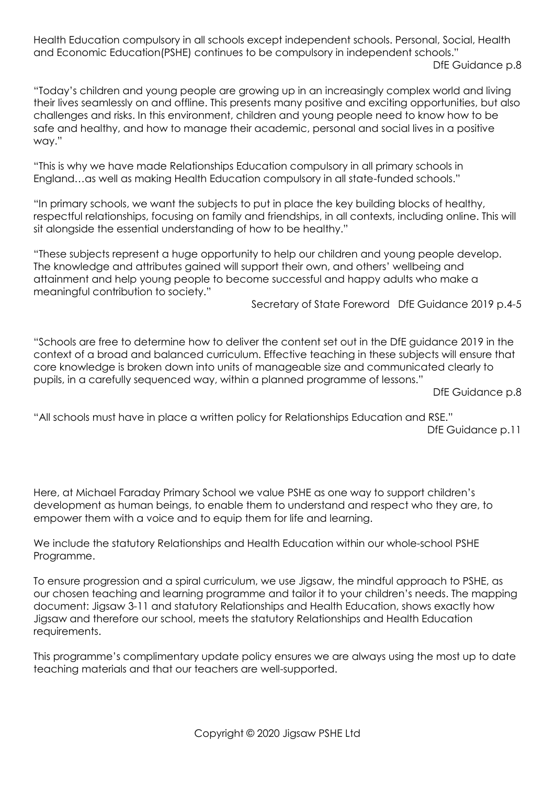Health Education compulsory in all schools except independent schools. Personal, Social, Health and Economic Education(PSHE) continues to be compulsory in independent schools." DfE Guidance p.8

"Today's children and young people are growing up in an increasingly complex world and living their lives seamlessly on and offline. This presents many positive and exciting opportunities, but also challenges and risks. In this environment, children and young people need to know how to be safe and healthy, and how to manage their academic, personal and social lives in a positive way."

"This is why we have made Relationships Education compulsory in all primary schools in England…as well as making Health Education compulsory in all state-funded schools."

"In primary schools, we want the subjects to put in place the key building blocks of healthy, respectful relationships, focusing on family and friendships, in all contexts, including online. This will sit alongside the essential understanding of how to be healthy."

"These subjects represent a huge opportunity to help our children and young people develop. The knowledge and attributes gained will support their own, and others' wellbeing and attainment and help young people to become successful and happy adults who make a meaningful contribution to society."

Secretary of State Foreword DfE Guidance 2019 p.4-5

"Schools are free to determine how to deliver the content set out in the DfE guidance 2019 in the context of a broad and balanced curriculum. Effective teaching in these subjects will ensure that core knowledge is broken down into units of manageable size and communicated clearly to pupils, in a carefully sequenced way, within a planned programme of lessons."

DfE Guidance p.8

"All schools must have in place a written policy for Relationships Education and RSE." DfE Guidance p.11

Here, at Michael Faraday Primary School we value PSHE as one way to support children's development as human beings, to enable them to understand and respect who they are, to empower them with a voice and to equip them for life and learning.

We include the statutory Relationships and Health Education within our whole-school PSHE Programme.

To ensure progression and a spiral curriculum, we use Jigsaw, the mindful approach to PSHE, as our chosen teaching and learning programme and tailor it to your children's needs. The mapping document: Jigsaw 3-11 and statutory Relationships and Health Education, shows exactly how Jigsaw and therefore our school, meets the statutory Relationships and Health Education requirements.

This programme's complimentary update policy ensures we are always using the most up to date teaching materials and that our teachers are well-supported.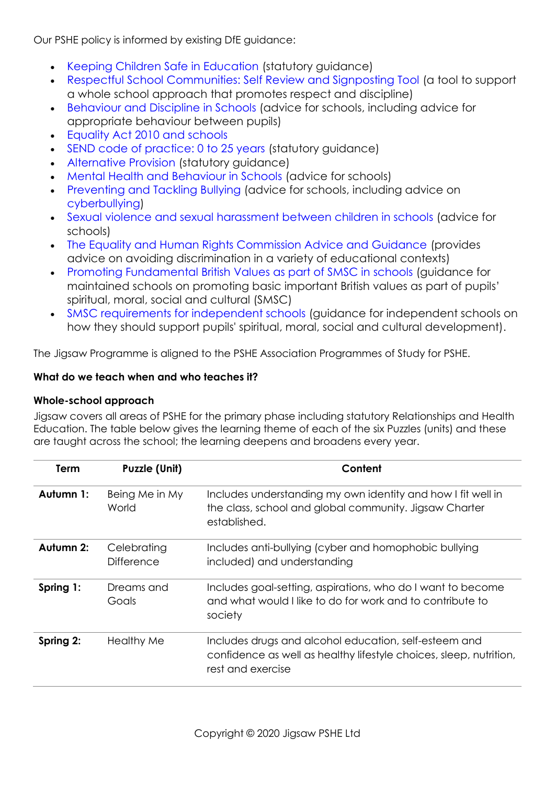Our PSHE policy is informed by existing DfE guidance:

- Keeping Children Safe in Education (statutory guidance)
- Respectful School Communities: Self Review and Signposting Tool (a tool to support a whole school approach that promotes respect and discipline)
- Behaviour and Discipline in Schools (advice for schools, including advice for appropriate behaviour between pupils)
- Equality Act 2010 and schools
- SEND code of practice: 0 to 25 years (statutory guidance)
- Alternative Provision (statutory guidance)
- Mental Health and Behaviour in Schools (advice for schools)
- Preventing and Tackling Bullying (advice for schools, including advice on cyberbullying)
- Sexual violence and sexual harassment between children in schools (advice for schools)
- The Equality and Human Rights Commission Advice and Guidance (provides advice on avoiding discrimination in a variety of educational contexts)
- Promoting Fundamental British Values as part of SMSC in schools (quidance for maintained schools on promoting basic important British values as part of pupils' spiritual, moral, social and cultural (SMSC)
- SMSC requirements for independent schools (guidance for independent schools on how they should support pupils' spiritual, moral, social and cultural development).

The Jigsaw Programme is aligned to the PSHE Association Programmes of Study for PSHE.

#### **What do we teach when and who teaches it?**

#### **Whole-school approach**

Jigsaw covers all areas of PSHE for the primary phase including statutory Relationships and Health Education. The table below gives the learning theme of each of the six Puzzles (units) and these are taught across the school; the learning deepens and broadens every year.

| Term      | <b>Puzzle (Unit)</b>             | Content                                                                                                                                          |  |
|-----------|----------------------------------|--------------------------------------------------------------------------------------------------------------------------------------------------|--|
| Autumn 1: | Being Me in My<br>World          | Includes understanding my own identity and how I fit well in<br>the class, school and global community. Jigsaw Charter<br>established.           |  |
| Autumn 2: | Celebrating<br><b>Difference</b> | Includes anti-bullying (cyber and homophobic bullying<br>included) and understanding                                                             |  |
| Spring 1: | Dreams and<br>Goals              | Includes goal-setting, aspirations, who do I want to become<br>and what would I like to do for work and to contribute to<br>society              |  |
| Spring 2: | <b>Healthy Me</b>                | Includes drugs and alcohol education, self-esteem and<br>confidence as well as healthy lifestyle choices, sleep, nutrition,<br>rest and exercise |  |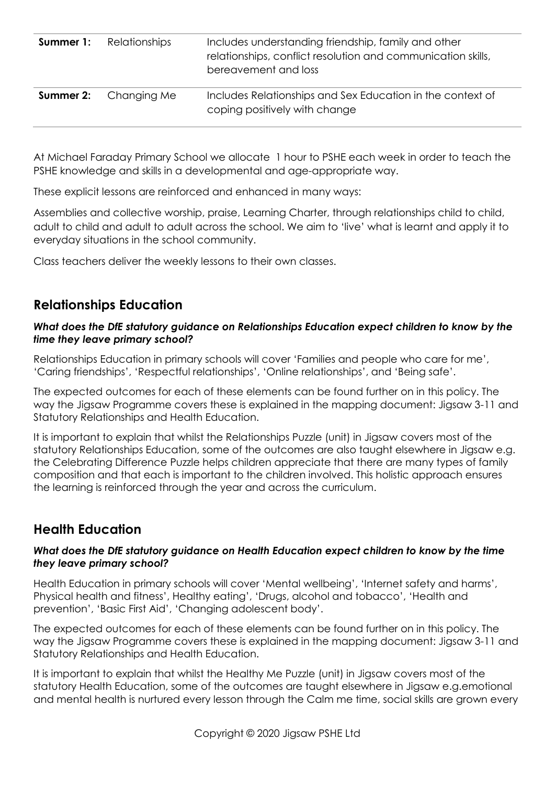| <b>Summer 1:</b> Relationships | Includes understanding friendship, family and other<br>relationships, conflict resolution and communication skills,<br>bereavement and loss |
|--------------------------------|---------------------------------------------------------------------------------------------------------------------------------------------|
| <b>Summer 2:</b> Changing Me   | Includes Relationships and Sex Education in the context of<br>coping positively with change                                                 |

At Michael Faraday Primary School we allocate 1 hour to PSHE each week in order to teach the PSHE knowledge and skills in a developmental and age-appropriate way.

These explicit lessons are reinforced and enhanced in many ways:

Assemblies and collective worship, praise, Learning Charter, through relationships child to child, adult to child and adult to adult across the school. We aim to 'live' what is learnt and apply it to everyday situations in the school community.

Class teachers deliver the weekly lessons to their own classes.

### **Relationships Education**

#### *What does the DfE statutory guidance on Relationships Education expect children to know by the time they leave primary school?*

Relationships Education in primary schools will cover 'Families and people who care for me', 'Caring friendships', 'Respectful relationships', 'Online relationships', and 'Being safe'.

The expected outcomes for each of these elements can be found further on in this policy. The way the Jigsaw Programme covers these is explained in the mapping document: Jigsaw 3-11 and Statutory Relationships and Health Education.

It is important to explain that whilst the Relationships Puzzle (unit) in Jigsaw covers most of the statutory Relationships Education, some of the outcomes are also taught elsewhere in Jigsaw e.g. the Celebrating Difference Puzzle helps children appreciate that there are many types of family composition and that each is important to the children involved. This holistic approach ensures the learning is reinforced through the year and across the curriculum.

## **Health Education**

#### *What does the DfE statutory guidance on Health Education expect children to know by the time they leave primary school?*

Health Education in primary schools will cover 'Mental wellbeing', 'Internet safety and harms', Physical health and fitness', Healthy eating', 'Drugs, alcohol and tobacco', 'Health and prevention', 'Basic First Aid', 'Changing adolescent body'.

The expected outcomes for each of these elements can be found further on in this policy. The way the Jigsaw Programme covers these is explained in the mapping document: Jigsaw 3-11 and Statutory Relationships and Health Education.

It is important to explain that whilst the Healthy Me Puzzle (unit) in Jigsaw covers most of the statutory Health Education, some of the outcomes are taught elsewhere in Jigsaw e.g.emotional and mental health is nurtured every lesson through the Calm me time, social skills are grown every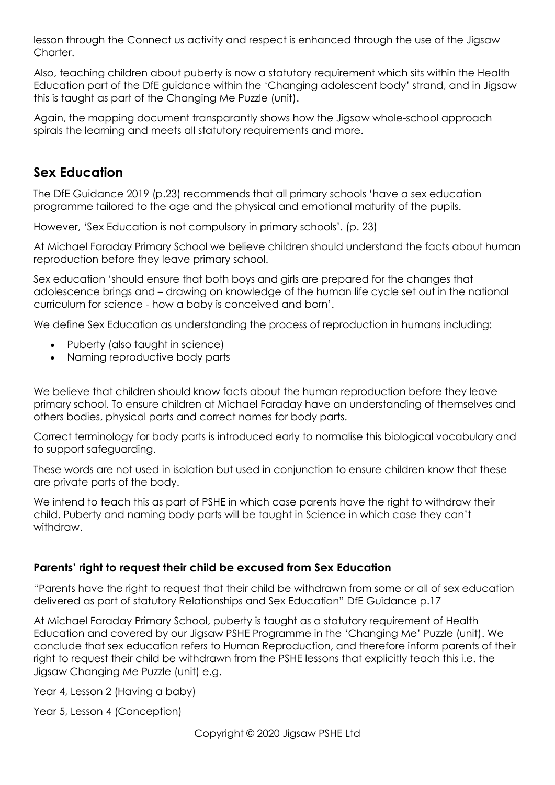lesson through the Connect us activity and respect is enhanced through the use of the Jigsaw Charter.

Also, teaching children about puberty is now a statutory requirement which sits within the Health Education part of the DfE guidance within the 'Changing adolescent body' strand, and in Jigsaw this is taught as part of the Changing Me Puzzle (unit).

Again, the mapping document transparantly shows how the Jigsaw whole-school approach spirals the learning and meets all statutory requirements and more.

### **Sex Education**

The DfE Guidance 2019 (p.23) recommends that all primary schools 'have a sex education programme tailored to the age and the physical and emotional maturity of the pupils.

However, 'Sex Education is not compulsory in primary schools'. (p. 23)

At Michael Faraday Primary School we believe children should understand the facts about human reproduction before they leave primary school.

Sex education 'should ensure that both boys and girls are prepared for the changes that adolescence brings and – drawing on knowledge of the human life cycle set out in the national curriculum for science - how a baby is conceived and born'.

We define Sex Education as understanding the process of reproduction in humans including:

- Puberty (also taught in science)
- Naming reproductive body parts

We believe that children should know facts about the human reproduction before they leave primary school. To ensure children at Michael Faraday have an understanding of themselves and others bodies, physical parts and correct names for body parts.

Correct terminology for body parts is introduced early to normalise this biological vocabulary and to support safeguarding.

These words are not used in isolation but used in conjunction to ensure children know that these are private parts of the body.

We intend to teach this as part of PSHE in which case parents have the right to withdraw their child. Puberty and naming body parts will be taught in Science in which case they can't withdraw.

#### **Parents' right to request their child be excused from Sex Education**

"Parents have the right to request that their child be withdrawn from some or all of sex education delivered as part of statutory Relationships and Sex Education" DfE Guidance p.17

At Michael Faraday Primary School, puberty is taught as a statutory requirement of Health Education and covered by our Jigsaw PSHE Programme in the 'Changing Me' Puzzle (unit). We conclude that sex education refers to Human Reproduction, and therefore inform parents of their right to request their child be withdrawn from the PSHE lessons that explicitly teach this i.e. the Jigsaw Changing Me Puzzle (unit) e.g.

Year 4, Lesson 2 (Having a baby)

Year 5, Lesson 4 (Conception)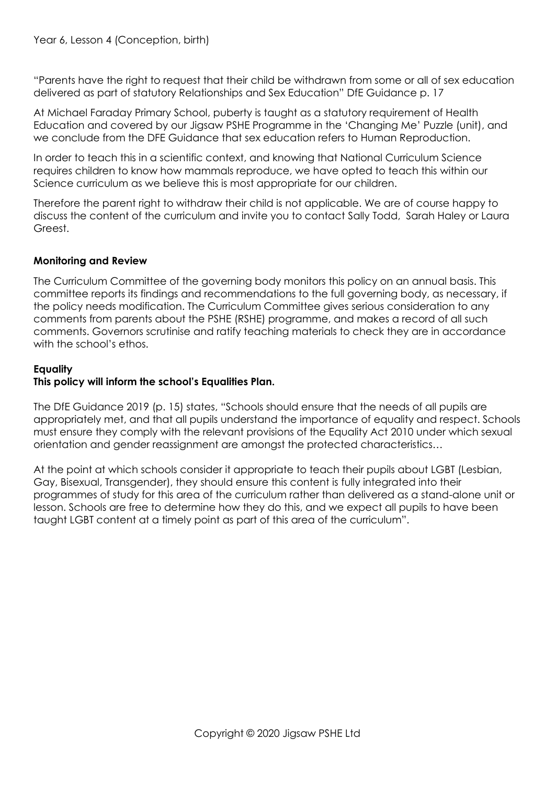"Parents have the right to request that their child be withdrawn from some or all of sex education delivered as part of statutory Relationships and Sex Education" DfE Guidance p. 17

At Michael Faraday Primary School, puberty is taught as a statutory requirement of Health Education and covered by our Jigsaw PSHE Programme in the 'Changing Me' Puzzle (unit), and we conclude from the DFE Guidance that sex education refers to Human Reproduction.

In order to teach this in a scientific context, and knowing that National Curriculum Science requires children to know how mammals reproduce, we have opted to teach this within our Science curriculum as we believe this is most appropriate for our children.

Therefore the parent right to withdraw their child is not applicable. We are of course happy to discuss the content of the curriculum and invite you to contact Sally Todd, Sarah Haley or Laura Greest.

#### **Monitoring and Review**

The Curriculum Committee of the governing body monitors this policy on an annual basis. This committee reports its findings and recommendations to the full governing body, as necessary, if the policy needs modification. The Curriculum Committee gives serious consideration to any comments from parents about the PSHE (RSHE) programme, and makes a record of all such comments. Governors scrutinise and ratify teaching materials to check they are in accordance with the school's ethos.

#### **Equality**

#### **This policy will inform the school's Equalities Plan.**

The DfE Guidance 2019 (p. 15) states, "Schools should ensure that the needs of all pupils are appropriately met, and that all pupils understand the importance of equality and respect. Schools must ensure they comply with the relevant provisions of the Equality Act 2010 under which sexual orientation and gender reassignment are amongst the protected characteristics…

At the point at which schools consider it appropriate to teach their pupils about LGBT (Lesbian, Gay, Bisexual, Transgender), they should ensure this content is fully integrated into their programmes of study for this area of the curriculum rather than delivered as a stand-alone unit or lesson. Schools are free to determine how they do this, and we expect all pupils to have been taught LGBT content at a timely point as part of this area of the curriculum".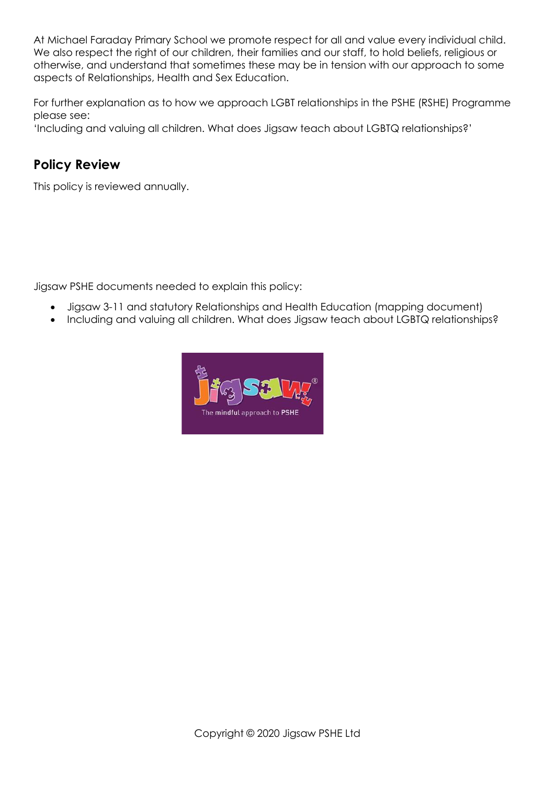At Michael Faraday Primary School we promote respect for all and value every individual child. We also respect the right of our children, their families and our staff, to hold beliefs, religious or otherwise, and understand that sometimes these may be in tension with our approach to some aspects of Relationships, Health and Sex Education.

For further explanation as to how we approach LGBT relationships in the PSHE (RSHE) Programme please see:

'Including and valuing all children. What does Jigsaw teach about LGBTQ relationships?'

## **Policy Review**

This policy is reviewed annually.

Jigsaw PSHE documents needed to explain this policy:

- Jigsaw 3-11 and statutory Relationships and Health Education (mapping document)
- Including and valuing all children. What does Jigsaw teach about LGBTQ relationships?

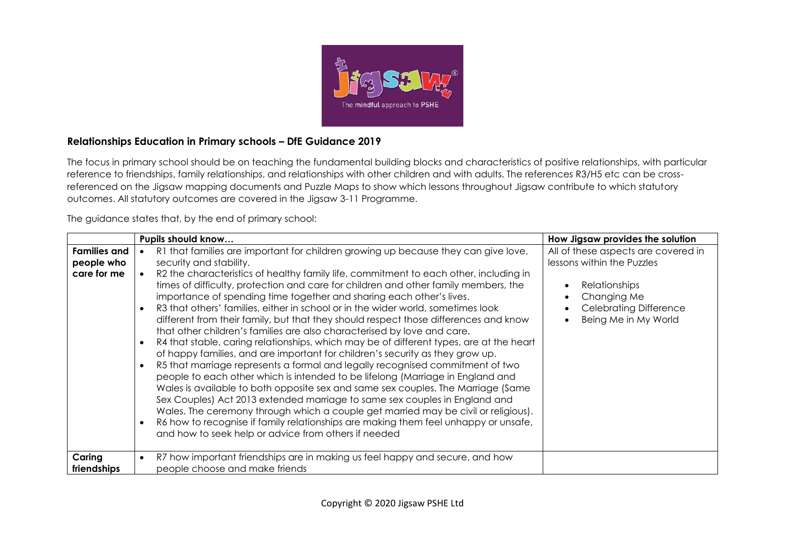

#### **Relationships Education in Primary schools – DfE Guidance 2019**

The focus in primary school should be on teaching the fundamental building blocks and characteristics of positive relationships, with particular reference to friendships, family relationships, and relationships with other children and with adults. The references R3/H5 etc can be crossreferenced on the Jigsaw mapping documents and Puzzle Maps to show which lessons throughout Jigsaw contribute to which statutory outcomes. All statutory outcomes are covered in the Jigsaw 3-11 Programme.

The guidance states that, by the end of primary school:

|                                                  | Pupils should know                                                                                                                                                                                                                                                                                                                                                                                                                                                                                                                                                                                                                                                                                                                                                                                                                                                                                                                                                                                                                                                                                                                                                                                                                                                                                                                                                                              | How Jigsaw provides the solution                                                                                                                                  |
|--------------------------------------------------|-------------------------------------------------------------------------------------------------------------------------------------------------------------------------------------------------------------------------------------------------------------------------------------------------------------------------------------------------------------------------------------------------------------------------------------------------------------------------------------------------------------------------------------------------------------------------------------------------------------------------------------------------------------------------------------------------------------------------------------------------------------------------------------------------------------------------------------------------------------------------------------------------------------------------------------------------------------------------------------------------------------------------------------------------------------------------------------------------------------------------------------------------------------------------------------------------------------------------------------------------------------------------------------------------------------------------------------------------------------------------------------------------|-------------------------------------------------------------------------------------------------------------------------------------------------------------------|
| <b>Families and</b><br>people who<br>care for me | R1 that families are important for children growing up because they can give love,<br>security and stability.<br>R2 the characteristics of healthy family life, commitment to each other, including in<br>times of difficulty, protection and care for children and other family members, the<br>importance of spending time together and sharing each other's lives.<br>R3 that others' families, either in school or in the wider world, sometimes look<br>different from their family, but that they should respect those differences and know<br>that other children's families are also characterised by love and care.<br>R4 that stable, caring relationships, which may be of different types, are at the heart<br>$\bullet$<br>of happy families, and are important for children's security as they grow up.<br>R5 that marriage represents a formal and legally recognised commitment of two<br>people to each other which is intended to be lifelong (Marriage in England and<br>Wales is available to both opposite sex and same sex couples. The Marriage (Same<br>Sex Couples) Act 2013 extended marriage to same sex couples in England and<br>Wales. The ceremony through which a couple get married may be civil or religious).<br>R6 how to recognise if family relationships are making them feel unhappy or unsafe,<br>and how to seek help or advice from others if needed | All of these aspects are covered in<br>lessons within the Puzzles<br><b>Relationships</b><br>Changing Me<br><b>Celebrating Difference</b><br>Being Me in My World |
| Caring<br>friendships                            | R7 how important friendships are in making us feel happy and secure, and how<br>people choose and make friends                                                                                                                                                                                                                                                                                                                                                                                                                                                                                                                                                                                                                                                                                                                                                                                                                                                                                                                                                                                                                                                                                                                                                                                                                                                                                  |                                                                                                                                                                   |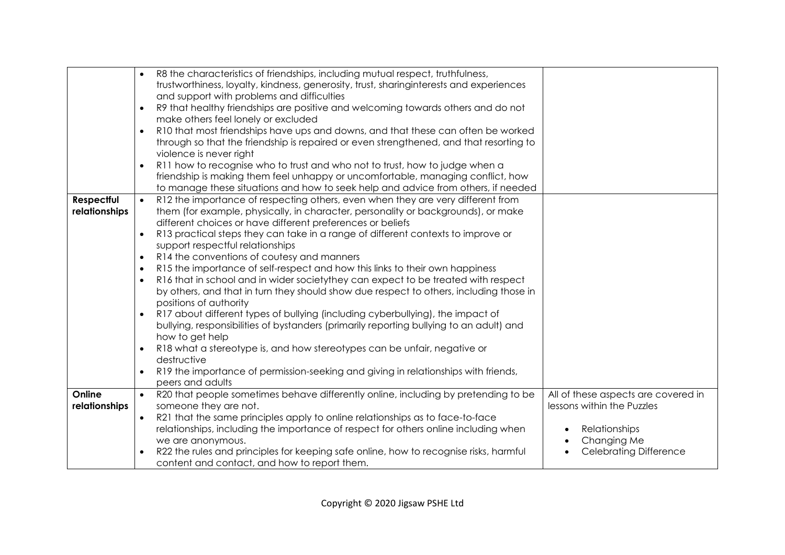|               |           | R8 the characteristics of friendships, including mutual respect, truthfulness,                              |                                                                   |
|---------------|-----------|-------------------------------------------------------------------------------------------------------------|-------------------------------------------------------------------|
|               |           | trustworthiness, loyalty, kindness, generosity, trust, sharinginterests and experiences                     |                                                                   |
|               |           | and support with problems and difficulties                                                                  |                                                                   |
|               | $\bullet$ | R9 that healthy friendships are positive and welcoming towards others and do not                            |                                                                   |
|               |           | make others feel lonely or excluded                                                                         |                                                                   |
|               | $\bullet$ | R10 that most friendships have ups and downs, and that these can often be worked                            |                                                                   |
|               |           | through so that the friendship is repaired or even strengthened, and that resorting to                      |                                                                   |
|               |           | violence is never right                                                                                     |                                                                   |
|               | $\bullet$ | R11 how to recognise who to trust and who not to trust, how to judge when a                                 |                                                                   |
|               |           | friendship is making them feel unhappy or uncomfortable, managing conflict, how                             |                                                                   |
|               |           | to manage these situations and how to seek help and advice from others, if needed                           |                                                                   |
| Respectful    | $\bullet$ | R12 the importance of respecting others, even when they are very different from                             |                                                                   |
| relationships |           | them (for example, physically, in character, personality or backgrounds), or make                           |                                                                   |
|               |           | different choices or have different preferences or beliefs                                                  |                                                                   |
|               | $\bullet$ | R13 practical steps they can take in a range of different contexts to improve or                            |                                                                   |
|               |           | support respectful relationships                                                                            |                                                                   |
|               | $\bullet$ | R14 the conventions of coutesy and manners                                                                  |                                                                   |
|               | $\bullet$ | R15 the importance of self-respect and how this links to their own happiness                                |                                                                   |
|               | $\bullet$ | R16 that in school and in wider society they can expect to be treated with respect                          |                                                                   |
|               |           | by others, and that in turn they should show due respect to others, including those in                      |                                                                   |
|               |           | positions of authority                                                                                      |                                                                   |
|               |           | R17 about different types of bullying (including cyberbullying), the impact of                              |                                                                   |
|               |           | bullying, responsibilities of bystanders (primarily reporting bullying to an adult) and                     |                                                                   |
|               |           | how to get help                                                                                             |                                                                   |
|               |           | R18 what a stereotype is, and how stereotypes can be unfair, negative or                                    |                                                                   |
|               |           | destructive                                                                                                 |                                                                   |
|               |           | R19 the importance of permission-seeking and giving in relationships with friends,                          |                                                                   |
| Online        |           | peers and adults                                                                                            |                                                                   |
| relationships | $\bullet$ | R20 that people sometimes behave differently online, including by pretending to be<br>someone they are not. | All of these aspects are covered in<br>lessons within the Puzzles |
|               | $\bullet$ | R21 that the same principles apply to online relationships as to face-to-face                               |                                                                   |
|               |           | relationships, including the importance of respect for others online including when                         | Relationships                                                     |
|               |           | we are anonymous.                                                                                           | Changing Me                                                       |
|               | $\bullet$ | R22 the rules and principles for keeping safe online, how to recognise risks, harmful                       | <b>Celebrating Difference</b>                                     |
|               |           |                                                                                                             |                                                                   |
|               |           | content and contact, and how to report them.                                                                |                                                                   |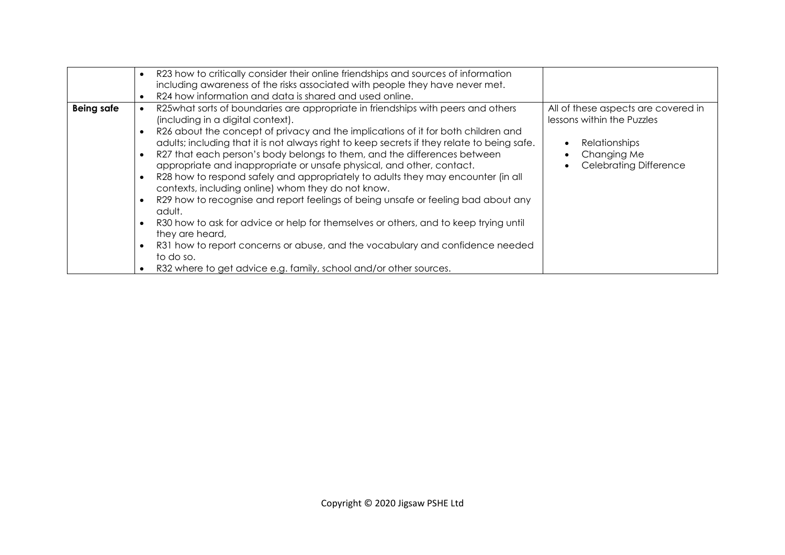|                   | $\bullet$                                                                  | R23 how to critically consider their online friendships and sources of information<br>including awareness of the risks associated with people they have never met.                                                                                                                                                                                                                                                                                                                                                                                                                                                                                                                                                                                                                                                                                         |                                                                                                                                           |
|-------------------|----------------------------------------------------------------------------|------------------------------------------------------------------------------------------------------------------------------------------------------------------------------------------------------------------------------------------------------------------------------------------------------------------------------------------------------------------------------------------------------------------------------------------------------------------------------------------------------------------------------------------------------------------------------------------------------------------------------------------------------------------------------------------------------------------------------------------------------------------------------------------------------------------------------------------------------------|-------------------------------------------------------------------------------------------------------------------------------------------|
| <b>Being safe</b> | $\bullet$<br>$\bullet$<br>$\bullet$<br>$\bullet$<br>$\bullet$<br>$\bullet$ | R24 how information and data is shared and used online.<br>R25what sorts of boundaries are appropriate in friendships with peers and others<br>(including in a digital context).<br>R26 about the concept of privacy and the implications of it for both children and<br>adults; including that it is not always right to keep secrets if they relate to being safe.<br>R27 that each person's body belongs to them, and the differences between<br>appropriate and inappropriate or unsafe physical, and other, contact.<br>R28 how to respond safely and appropriately to adults they may encounter (in all<br>contexts, including online) whom they do not know.<br>R29 how to recognise and report feelings of being unsafe or feeling bad about any<br>adult.<br>R30 how to ask for advice or help for themselves or others, and to keep trying until | All of these aspects are covered in<br>lessons within the Puzzles<br><b>Relationships</b><br>Changing Me<br><b>Celebrating Difference</b> |
|                   | $\bullet$                                                                  | they are heard,<br>R31 how to report concerns or abuse, and the vocabulary and confidence needed<br>to do so.<br>R32 where to get advice e.g. family, school and/or other sources.                                                                                                                                                                                                                                                                                                                                                                                                                                                                                                                                                                                                                                                                         |                                                                                                                                           |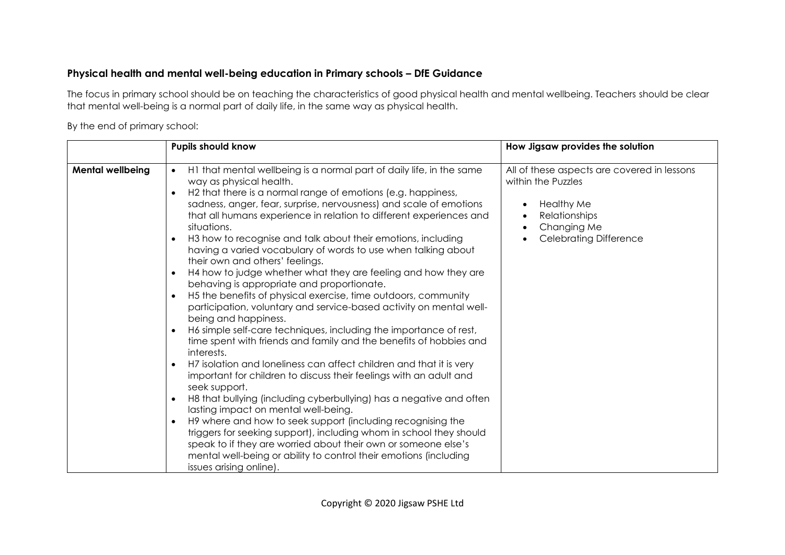#### **Physical health and mental well-being education in Primary schools – DfE Guidance**

The focus in primary school should be on teaching the characteristics of good physical health and mental wellbeing. Teachers should be clear that mental well-being is a normal part of daily life, in the same way as physical health.

By the end of primary school:

|                         | <b>Pupils should know</b>                                                                                                                                                                                                                                                                                                                                                                                                                                                                                                                                                                                                                                                                                                                                                                                                                                                                                                                                                                                                                                                                                                                                                                                                                                                                                                                                                                                                                                                                                                                                | How Jigsaw provides the solution                                                                                                                                                                            |
|-------------------------|----------------------------------------------------------------------------------------------------------------------------------------------------------------------------------------------------------------------------------------------------------------------------------------------------------------------------------------------------------------------------------------------------------------------------------------------------------------------------------------------------------------------------------------------------------------------------------------------------------------------------------------------------------------------------------------------------------------------------------------------------------------------------------------------------------------------------------------------------------------------------------------------------------------------------------------------------------------------------------------------------------------------------------------------------------------------------------------------------------------------------------------------------------------------------------------------------------------------------------------------------------------------------------------------------------------------------------------------------------------------------------------------------------------------------------------------------------------------------------------------------------------------------------------------------------|-------------------------------------------------------------------------------------------------------------------------------------------------------------------------------------------------------------|
| <b>Mental wellbeing</b> | H1 that mental wellbeing is a normal part of daily life, in the same<br>$\bullet$<br>way as physical health.<br>H2 that there is a normal range of emotions (e.g. happiness,<br>sadness, anger, fear, surprise, nervousness) and scale of emotions<br>that all humans experience in relation to different experiences and<br>situations.<br>H3 how to recognise and talk about their emotions, including<br>having a varied vocabulary of words to use when talking about<br>their own and others' feelings.<br>H4 how to judge whether what they are feeling and how they are<br>behaving is appropriate and proportionate.<br>H5 the benefits of physical exercise, time outdoors, community<br>participation, voluntary and service-based activity on mental well-<br>being and happiness.<br>H6 simple self-care techniques, including the importance of rest,<br>time spent with friends and family and the benefits of hobbies and<br>interests.<br>H7 isolation and loneliness can affect children and that it is very<br>important for children to discuss their feelings with an adult and<br>seek support.<br>H8 that bullying (including cyberbullying) has a negative and often<br>lasting impact on mental well-being.<br>H9 where and how to seek support (including recognising the<br>$\bullet$<br>triggers for seeking support), including whom in school they should<br>speak to if they are worried about their own or someone else's<br>mental well-being or ability to control their emotions (including<br>issues arising online). | All of these aspects are covered in lessons<br>within the Puzzles<br><b>Healthy Me</b><br>$\bullet$<br>Relationships<br>$\bullet$<br>Changing Me<br>$\bullet$<br><b>Celebrating Difference</b><br>$\bullet$ |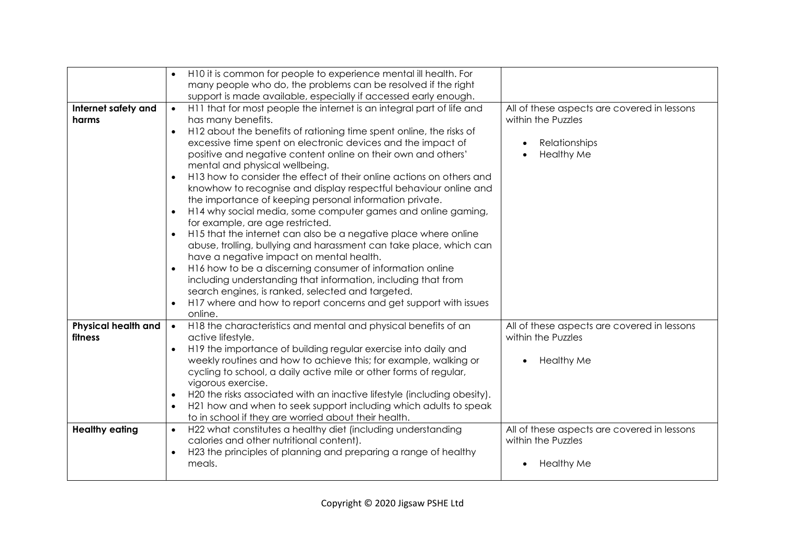|                                       | H10 it is common for people to experience mental ill health. For<br>many people who do, the problems can be resolved if the right                                                                                                                                                                                                                                                                                                                                                                                                                                                                                                                                                                                                                                                                                                                                                                                                                                                                                                                                                                                                                           |                                                                                                         |
|---------------------------------------|-------------------------------------------------------------------------------------------------------------------------------------------------------------------------------------------------------------------------------------------------------------------------------------------------------------------------------------------------------------------------------------------------------------------------------------------------------------------------------------------------------------------------------------------------------------------------------------------------------------------------------------------------------------------------------------------------------------------------------------------------------------------------------------------------------------------------------------------------------------------------------------------------------------------------------------------------------------------------------------------------------------------------------------------------------------------------------------------------------------------------------------------------------------|---------------------------------------------------------------------------------------------------------|
|                                       | support is made available, especially if accessed early enough.                                                                                                                                                                                                                                                                                                                                                                                                                                                                                                                                                                                                                                                                                                                                                                                                                                                                                                                                                                                                                                                                                             |                                                                                                         |
| Internet safety and<br>harms          | H11 that for most people the internet is an integral part of life and<br>$\bullet$<br>has many benefits.<br>H12 about the benefits of rationing time spent online, the risks of<br>$\bullet$<br>excessive time spent on electronic devices and the impact of<br>positive and negative content online on their own and others'<br>mental and physical wellbeing.<br>H13 how to consider the effect of their online actions on others and<br>$\bullet$<br>knowhow to recognise and display respectful behaviour online and<br>the importance of keeping personal information private.<br>H14 why social media, some computer games and online gaming,<br>$\bullet$<br>for example, are age restricted.<br>H15 that the internet can also be a negative place where online<br>abuse, trolling, bullying and harassment can take place, which can<br>have a negative impact on mental health.<br>H16 how to be a discerning consumer of information online<br>including understanding that information, including that from<br>search engines, is ranked, selected and targeted.<br>H17 where and how to report concerns and get support with issues<br>online. | All of these aspects are covered in lessons<br>within the Puzzles<br>Relationships<br><b>Healthy Me</b> |
| <b>Physical health and</b><br>fitness | H18 the characteristics and mental and physical benefits of an<br>$\bullet$<br>active lifestyle.<br>H19 the importance of building regular exercise into daily and<br>$\bullet$<br>weekly routines and how to achieve this; for example, walking or<br>cycling to school, a daily active mile or other forms of regular,<br>vigorous exercise.<br>H20 the risks associated with an inactive lifestyle (including obesity).<br>$\bullet$<br>H21 how and when to seek support including which adults to speak<br>$\bullet$<br>to in school if they are worried about their health.                                                                                                                                                                                                                                                                                                                                                                                                                                                                                                                                                                            | All of these aspects are covered in lessons<br>within the Puzzles<br><b>Healthy Me</b>                  |
| <b>Healthy eating</b>                 | H22 what constitutes a healthy diet (including understanding<br>$\bullet$<br>calories and other nutritional content).<br>H23 the principles of planning and preparing a range of healthy<br>meals.                                                                                                                                                                                                                                                                                                                                                                                                                                                                                                                                                                                                                                                                                                                                                                                                                                                                                                                                                          | All of these aspects are covered in lessons<br>within the Puzzles<br><b>Healthy Me</b>                  |